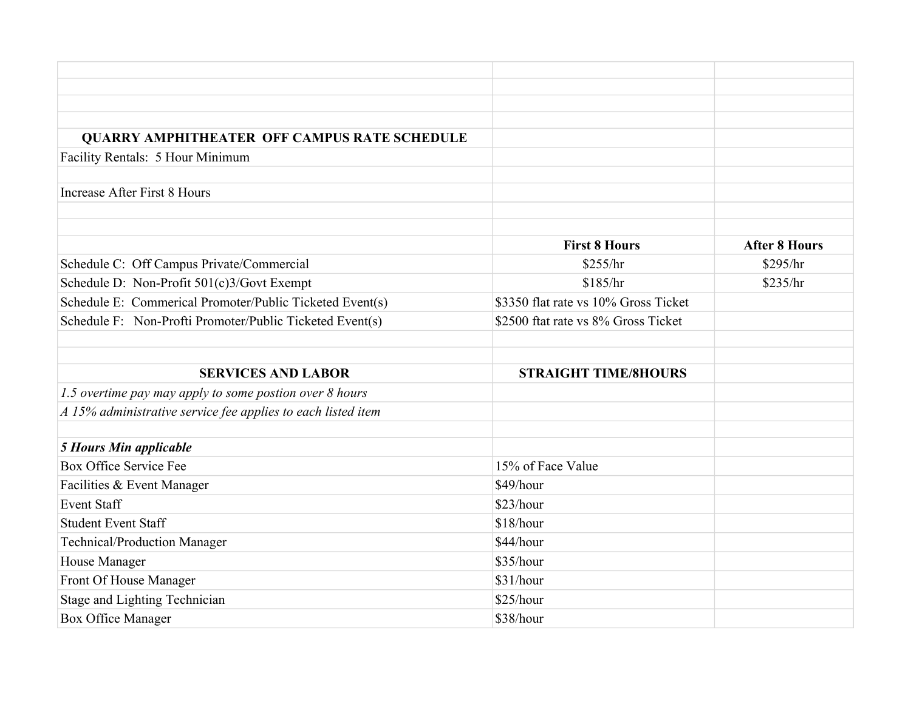| <b>QUARRY AMPHITHEATER OFF CAMPUS RATE SCHEDULE</b>          |                                      |                      |
|--------------------------------------------------------------|--------------------------------------|----------------------|
| Facility Rentals: 5 Hour Minimum                             |                                      |                      |
|                                                              |                                      |                      |
| <b>Increase After First 8 Hours</b>                          |                                      |                      |
|                                                              |                                      |                      |
|                                                              |                                      |                      |
|                                                              | <b>First 8 Hours</b>                 | <b>After 8 Hours</b> |
| Schedule C: Off Campus Private/Commercial                    | \$255/hr                             | \$295/hr             |
| Schedule D: Non-Profit 501(c)3/Govt Exempt                   | \$185/hr                             | \$235/hr             |
| Schedule E: Commerical Promoter/Public Ticketed Event(s)     | \$3350 flat rate vs 10% Gross Ticket |                      |
| Schedule F: Non-Profti Promoter/Public Ticketed Event(s)     | \$2500 ftat rate vs 8% Gross Ticket  |                      |
|                                                              |                                      |                      |
|                                                              |                                      |                      |
| <b>SERVICES AND LABOR</b>                                    | <b>STRAIGHT TIME/8HOURS</b>          |                      |
| 1.5 overtime pay may apply to some postion over 8 hours      |                                      |                      |
| A 15% administrative service fee applies to each listed item |                                      |                      |
|                                                              |                                      |                      |
| <b>5 Hours Min applicable</b>                                |                                      |                      |
| Box Office Service Fee                                       | 15% of Face Value                    |                      |
| Facilities & Event Manager                                   | \$49/hour                            |                      |
| <b>Event Staff</b>                                           | \$23/hour                            |                      |
| <b>Student Event Staff</b>                                   | \$18/hour                            |                      |
| Technical/Production Manager                                 | \$44/hour                            |                      |
| House Manager                                                | \$35/hour                            |                      |
| Front Of House Manager                                       | \$31/hour                            |                      |
| Stage and Lighting Technician                                | \$25/hour                            |                      |
| <b>Box Office Manager</b>                                    | \$38/hour                            |                      |